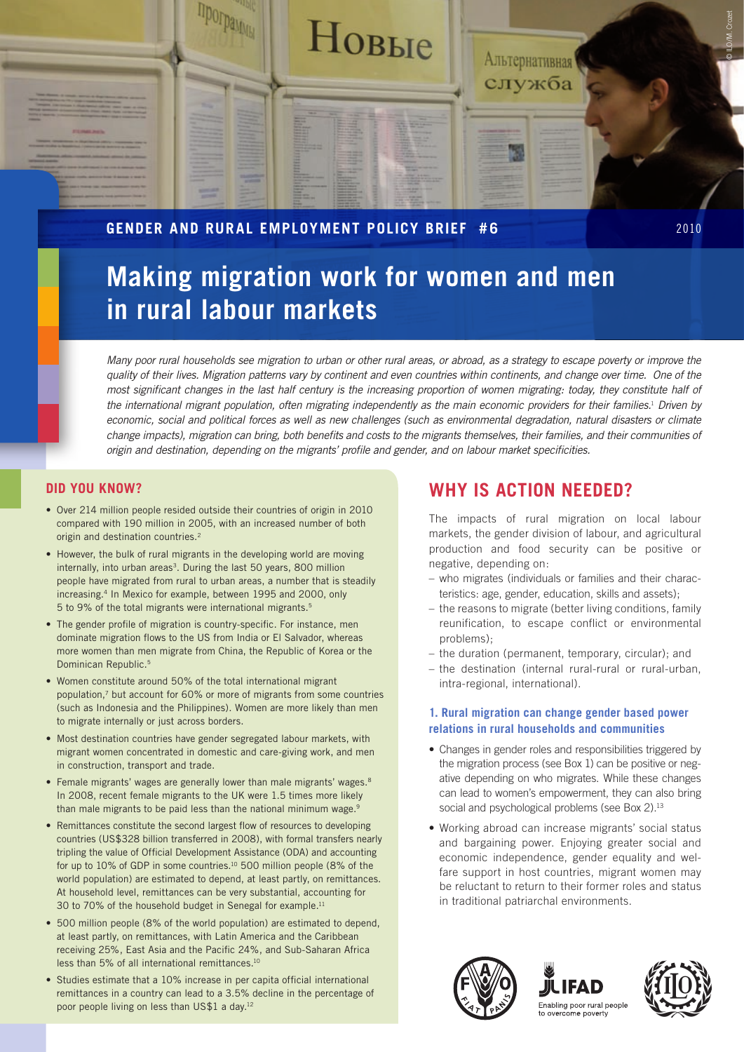

# **Gender and Rural Employment Policy Brief #6** 2010

# **Making migration work for women and men in rural labour markets**

*Many poor rural households see migration to urban or other rural areas, or abroad, as a strategy to escape poverty or improve the quality of their lives. Migration patterns vary by continent and even countries within continents, and change over time. One of the most significant changes in the last half century is the increasing proportion of women migrating: today, they constitute half of the international migrant population, often migrating independently as the main economic providers for their families.*<sup>1</sup>  *Driven by economic, social and political forces as well as new challenges (such as environmental degradation, natural disasters or climate change impacts), migration can bring, both benefits and costs to the migrants themselves, their families, and their communities of origin and destination, depending on the migrants' profile and gender, and on labour market specificities.*

# **Did you know?**

- Over 214 million people resided outside their countries of origin in 2010 compared with 190 million in 2005, with an increased number of both origin and destination countries.<sup>2</sup>
- However, the bulk of rural migrants in the developing world are moving internally, into urban areas<sup>3</sup>. During the last 50 years, 800 million people have migrated from rural to urban areas, a number that is steadily increasing.4 In Mexico for example, between 1995 and 2000, only 5 to 9% of the total migrants were international migrants.5
- The gender profile of migration is country-specific. For instance, men dominate migration flows to the US from India or El Salvador, whereas more women than men migrate from China, the Republic of Korea or the Dominican Republic.5
- Women constitute around 50% of the total international migrant population,7 but account for 60% or more of migrants from some countries (such as Indonesia and the Philippines). Women are more likely than men to migrate internally or just across borders.
- Most destination countries have gender segregated labour markets, with migrant women concentrated in domestic and care-giving work, and men in construction, transport and trade.
- Female migrants' wages are generally lower than male migrants' wages.<sup>8</sup> In 2008, recent female migrants to the UK were 1.5 times more likely than male migrants to be paid less than the national minimum wage.<sup>9</sup>
- Remittances constitute the second largest flow of resources to developing countries (US\$328 billion transferred in 2008), with formal transfers nearly tripling the value of Official Development Assistance (ODA) and accounting for up to 10% of GDP in some countries.10 500 million people (8% of the world population) are estimated to depend, at least partly, on remittances. At household level, remittances can be very substantial, accounting for 30 to 70% of the household budget in Senegal for example.<sup>11</sup>
- 500 million people (8% of the world population) are estimated to depend, at least partly, on remittances, with Latin America and the Caribbean receiving 25%, East Asia and the Pacific 24%, and Sub-Saharan Africa less than 5% of all international remittances.<sup>10</sup>
- Studies estimate that a 10% increase in per capita official international remittances in a country can lead to a 3.5% decline in the percentage of poor people living on less than US\$1 a day.12

# **Why is action needed?**

The impacts of rural migration on local labour markets, the gender division of labour, and agricultural production and food security can be positive or negative, depending on:

- who migrates (individuals or families and their characteristics: age, gender, education, skills and assets);
- the reasons to migrate (better living conditions, family reunification, to escape conflict or environmental problems);
- the duration (permanent, temporary, circular); and
- the destination (internal rural-rural or rural-urban, intra-regional, international).

#### **1. Rural migration can change gender based power relations in rural households and communities**

- Changes in gender roles and responsibilities triggered by the migration process (see Box 1) can be positive or negative depending on who migrates. While these changes can lead to women's empowerment, they can also bring social and psychological problems (see Box 2).<sup>13</sup>
- Working abroad can increase migrants' social status and bargaining power. Enjoying greater social and economic independence, gender equality and welfare support in host countries, migrant women may be reluctant to return to their former roles and status in traditional patriarchal environments.





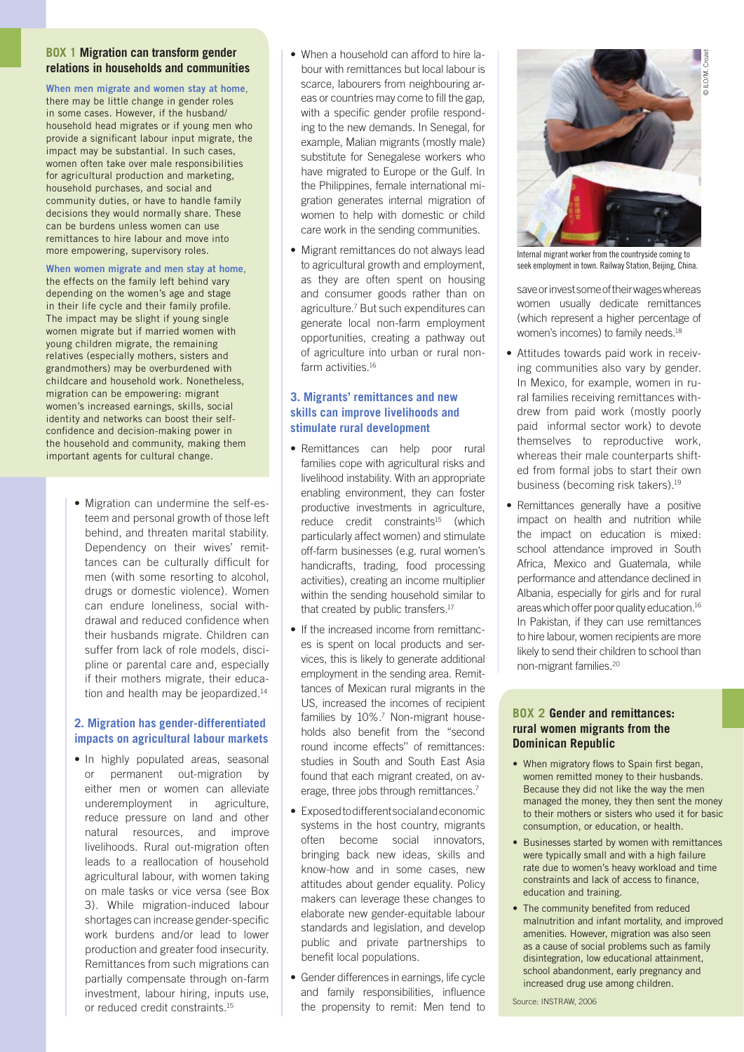#### **Box 1 Migration can transform gender relations in households and communities**

#### **When men migrate and women stay at home**,

there may be little change in gender roles in some cases. However, if the husband/ household head migrates or if young men who provide a significant labour input migrate, the impact may be substantial. In such cases, women often take over male responsibilities for agricultural production and marketing, household purchases, and social and community duties, or have to handle family decisions they would normally share. These can be burdens unless women can use remittances to hire labour and move into more empowering, supervisory roles.

#### **When women migrate and men stay at home**,

the effects on the family left behind vary depending on the women's age and stage in their life cycle and their family profile. The impact may be slight if young single women migrate but if married women with young children migrate, the remaining relatives (especially mothers, sisters and grandmothers) may be overburdened with childcare and household work. Nonetheless, migration can be empowering: migrant women's increased earnings, skills, social identity and networks can boost their selfconfidence and decision-making power in the household and community, making them important agents for cultural change.

> • Migration can undermine the self-esteem and personal growth of those left behind, and threaten marital stability. Dependency on their wives' remittances can be culturally difficult for men (with some resorting to alcohol, drugs or domestic violence). Women can endure loneliness, social withdrawal and reduced confidence when their husbands migrate. Children can suffer from lack of role models, discipline or parental care and, especially if their mothers migrate, their education and health may be jeopardized.<sup>14</sup>

#### **2. Migration has gender-differentiated impacts on agricultural labour markets**

• In highly populated areas, seasonal or permanent out-migration by either men or women can alleviate underemployment in agriculture, reduce pressure on land and other natural resources, and improve livelihoods. Rural out-migration often leads to a reallocation of household agricultural labour, with women taking on male tasks or vice versa (see Box 3). While migration-induced labour shortages can increase gender-specific work burdens and/or lead to lower production and greater food insecurity. Remittances from such migrations can partially compensate through on-farm investment, labour hiring, inputs use, or reduced credit constraints.<sup>15</sup>

- When a household can afford to hire labour with remittances but local labour is scarce, labourers from neighbouring areas or countries may come to fill the gap, with a specific gender profile responding to the new demands. In Senegal, for example, Malian migrants (mostly male) substitute for Senegalese workers who have migrated to Europe or the Gulf. In the Philippines, female international migration generates internal migration of women to help with domestic or child care work in the sending communities.
- Migrant remittances do not always lead to agricultural growth and employment, as they are often spent on housing and consumer goods rather than on agriculture.<sup>7</sup> But such expenditures can generate local non-farm employment opportunities, creating a pathway out of agriculture into urban or rural nonfarm activities.<sup>16</sup>

## **3. Migrants' remittances and new skills can improve livelihoods and stimulate rural development**

- Remittances can help poor rural families cope with agricultural risks and livelihood instability. With an appropriate enabling environment, they can foster productive investments in agriculture, reduce credit constraints<sup>15</sup> (which particularly affect women) and stimulate off-farm businesses (e.g. rural women's handicrafts, trading, food processing activities), creating an income multiplier within the sending household similar to that created by public transfers.<sup>17</sup>
- If the increased income from remittances is spent on local products and services, this is likely to generate additional employment in the sending area. Remittances of Mexican rural migrants in the US, increased the incomes of recipient families by 10%.<sup>7</sup> Non-migrant households also benefit from the "second round income effects'' of remittances: studies in South and South East Asia found that each migrant created, on average, three jobs through remittances.7
- Exposed to different social and economic systems in the host country, migrants often become social innovators, bringing back new ideas, skills and know-how and in some cases, new attitudes about gender equality. Policy makers can leverage these changes to elaborate new gender-equitable labour standards and legislation, and develop public and private partnerships to benefit local populations.
- • Gender differences in earnings, life cycle and family responsibilities, influence the propensity to remit: Men tend to



Internal migrant worker from the countryside coming to seek employment in town. Railway Station, Beijing, China.

save or invest some of their wages whereas women usually dedicate remittances (which represent a higher percentage of women's incomes) to family needs.<sup>18</sup>

- Attitudes towards paid work in receiving communities also vary by gender. In Mexico, for example, women in rural families receiving remittances withdrew from paid work (mostly poorly paid informal sector work) to devote themselves to reproductive work, whereas their male counterparts shifted from formal jobs to start their own business (becoming risk takers).<sup>19</sup>
- Remittances generally have a positive impact on health and nutrition while the impact on education is mixed: school attendance improved in South Africa, Mexico and Guatemala, while performance and attendance declined in Albania, especially for girls and for rural areas which offer poor quality education.16 In Pakistan, if they can use remittances to hire labour, women recipients are more likely to send their children to school than non-migrant families.20

#### **Box 2 Gender and remittances: rural women migrants from the Dominican Republic**

- When migratory flows to Spain first began, women remitted money to their husbands. Because they did not like the way the men managed the money, they then sent the money to their mothers or sisters who used it for basic consumption, or education, or health.
- Businesses started by women with remittances were typically small and with a high failure rate due to women's heavy workload and time constraints and lack of access to finance, education and training.
- The community benefited from reduced malnutrition and infant mortality, and improved amenities. However, migration was also seen as a cause of social problems such as family disintegration, low educational attainment, school abandonment, early pregnancy and increased drug use among children.

Source: INSTRAW, 2006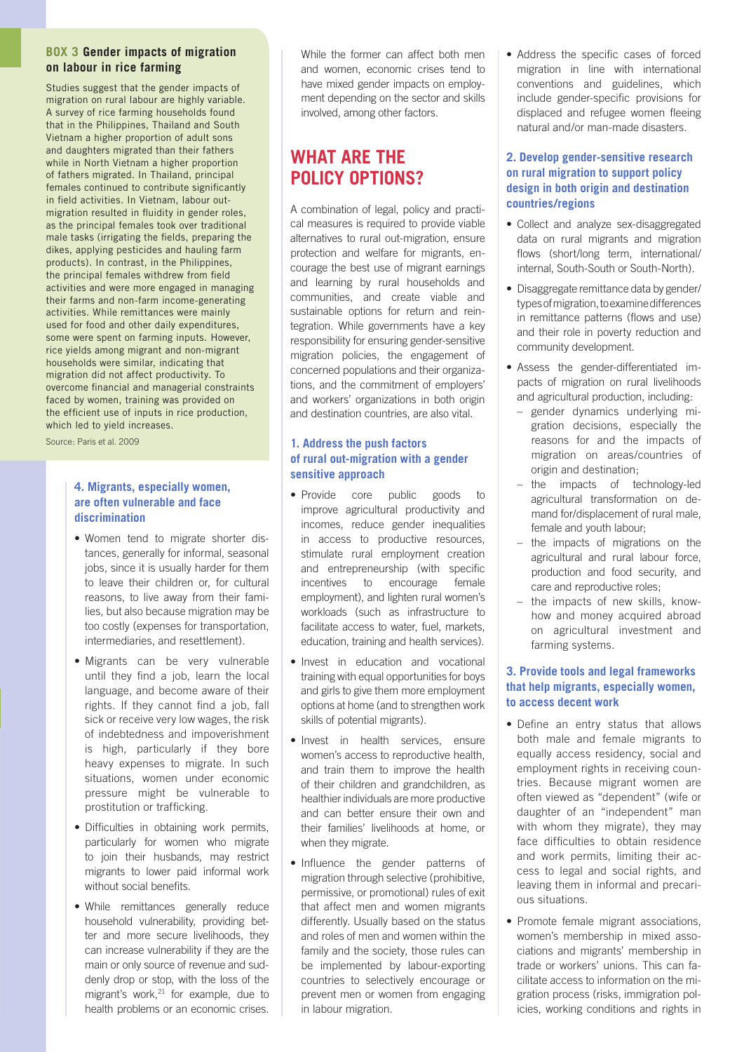#### **Box 3 Gender impacts of migration on labour in rice farming**

Studies suggest that the gender impacts of migration on rural labour are highly variable. A survey of rice farming households found that in the Philippines, Thailand and South Vietnam a higher proportion of adult sons and daughters migrated than their fathers while in North Vietnam a higher proportion of fathers migrated. In Thailand, principal females continued to contribute significantly in field activities. In Vietnam, labour outmigration resulted in fluidity in gender roles, as the principal females took over traditional male tasks (irrigating the fields, preparing the dikes, applying pesticides and hauling farm products). In contrast, in the Philippines, the principal females withdrew from field activities and were more engaged in managing their farms and non-farm income-generating activities. While remittances were mainly used for food and other daily expenditures, some were spent on farming inputs. However, rice yields among migrant and non-migrant households were similar, indicating that migration did not affect productivity. To overcome financial and managerial constraints faced by women, training was provided on the efficient use of inputs in rice production, which led to yield increases.

Source: Paris et al. 2009

## **4. Migrants, especially women, are often vulnerable and face discrimination**

- Women tend to migrate shorter distances, generally for informal, seasonal jobs, since it is usually harder for them to leave their children or, for cultural reasons, to live away from their families, but also because migration may be too costly (expenses for transportation, intermediaries, and resettlement).
- Migrants can be very vulnerable until they find a job, learn the local language, and become aware of their rights. If they cannot find a job, fall sick or receive very low wages, the risk of indebtedness and impoverishment is high, particularly if they bore heavy expenses to migrate. In such situations, women under economic pressure might be vulnerable to prostitution or trafficking.
- Difficulties in obtaining work permits, particularly for women who migrate to join their husbands, may restrict migrants to lower paid informal work without social benefits.
- While remittances generally reduce household vulnerability, providing better and more secure livelihoods, they can increase vulnerability if they are the main or only source of revenue and suddenly drop or stop, with the loss of the migrant's work, $21$  for example, due to health problems or an economic crises.

While the former can affect both men and women, economic crises tend to have mixed gender impacts on employment depending on the sector and skills involved, among other factors.

# **What are the policy options?**

A combination of legal, policy and practical measures is required to provide viable alternatives to rural out-migration, ensure protection and welfare for migrants, encourage the best use of migrant earnings and learning by rural households and communities, and create viable and sustainable options for return and reintegration. While governments have a key responsibility for ensuring gender-sensitive migration policies, the engagement of concerned populations and their organizations, and the commitment of employers' and workers' organizations in both origin and destination countries, are also vital.

### **1. Address the push factors of rural out-migration with a gender sensitive approach**

- Provide core public goods to improve agricultural productivity and incomes, reduce gender inequalities in access to productive resources, stimulate rural employment creation and entrepreneurship (with specific incentives to encourage female employment), and lighten rural women's workloads (such as infrastructure to facilitate access to water, fuel, markets, education, training and health services).
- Invest in education and vocational training with equal opportunities for boys and girls to give them more employment options at home (and to strengthen work skills of potential migrants).
- Invest in health services, ensure women's access to reproductive health, and train them to improve the health of their children and grandchildren, as healthier individuals are more productive and can better ensure their own and their families' livelihoods at home, or when they migrate.
- Influence the gender patterns of migration through selective (prohibitive, permissive, or promotional) rules of exit that affect men and women migrants differently. Usually based on the status and roles of men and women within the family and the society, those rules can be implemented by labour-exporting countries to selectively encourage or prevent men or women from engaging in labour migration.

• Address the specific cases of forced migration in line with international conventions and guidelines, which include gender-specific provisions for displaced and refugee women fleeing natural and/or man-made disasters.

#### **2. Develop gender-sensitive research on rural migration to support policy design in both origin and destination countries/regions**

- Collect and analyze sex-disaggregated data on rural migrants and migration flows (short/long term, international/ internal, South-South or South-North).
- Disaggregate remittance data by gender/ types of migration, to examine differences in remittance patterns (flows and use) and their role in poverty reduction and community development.
- Assess the gender-differentiated impacts of migration on rural livelihoods and agricultural production, including:
	- gender dynamics underlying migration decisions, especially the reasons for and the impacts of migration on areas/countries of origin and destination;
	- the impacts of technology-led agricultural transformation on demand for/displacement of rural male, female and youth labour;
	- the impacts of migrations on the agricultural and rural labour force, production and food security, and care and reproductive roles;
	- the impacts of new skills, knowhow and money acquired abroad on agricultural investment and farming systems.

### **3. Provide tools and legal frameworks that help migrants, especially women, to access decent work**

- Define an entry status that allows both male and female migrants to equally access residency, social and employment rights in receiving countries. Because migrant women are often viewed as "dependent" (wife or daughter of an "independent" man with whom they migrate), they may face difficulties to obtain residence and work permits, limiting their access to legal and social rights, and leaving them in informal and precarious situations.
- Promote female migrant associations, women's membership in mixed associations and migrants' membership in trade or workers' unions. This can facilitate access to information on the migration process (risks, immigration policies, working conditions and rights in